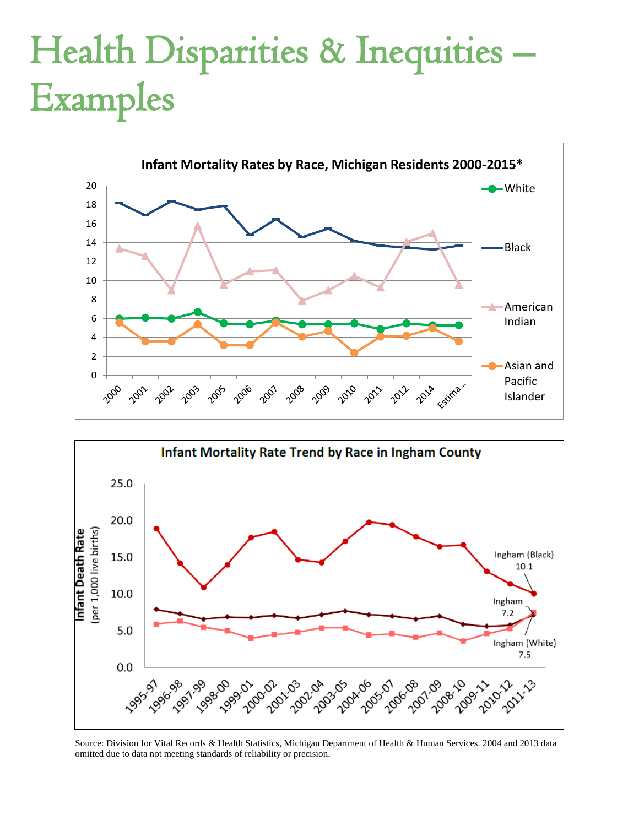# Health Disparities & Inequities – Examples





Source: Division for Vital Records & Health Statistics, Michigan Department of Health & Human Services. 2004 and 2013 data omitted due to data not meeting standards of reliability or precision.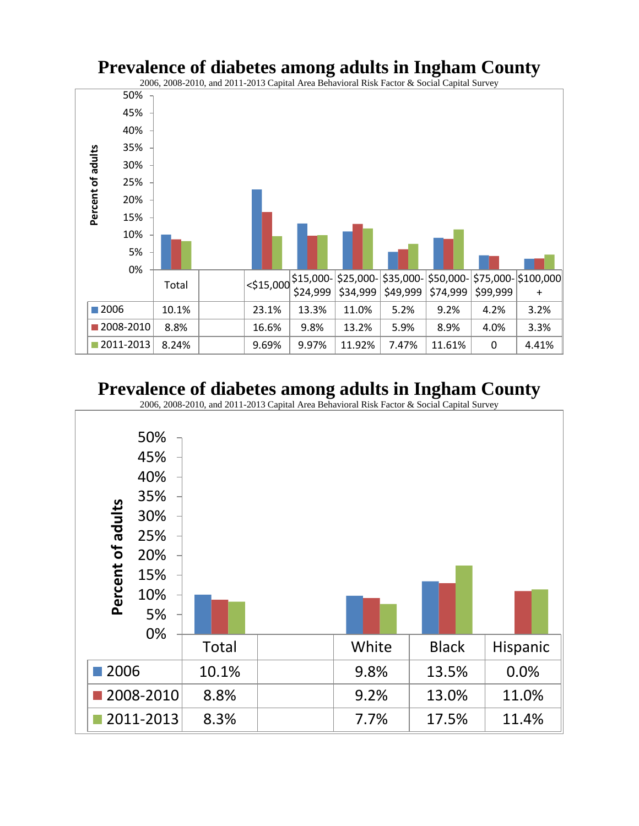### **Prevalence of diabetes among adults in Ingham County**

2006, 2008-2010, and 2011-2013 Capital Area Behavioral Risk Factor & Social Capital Survey



## **Prevalence of diabetes among adults in Ingham County**

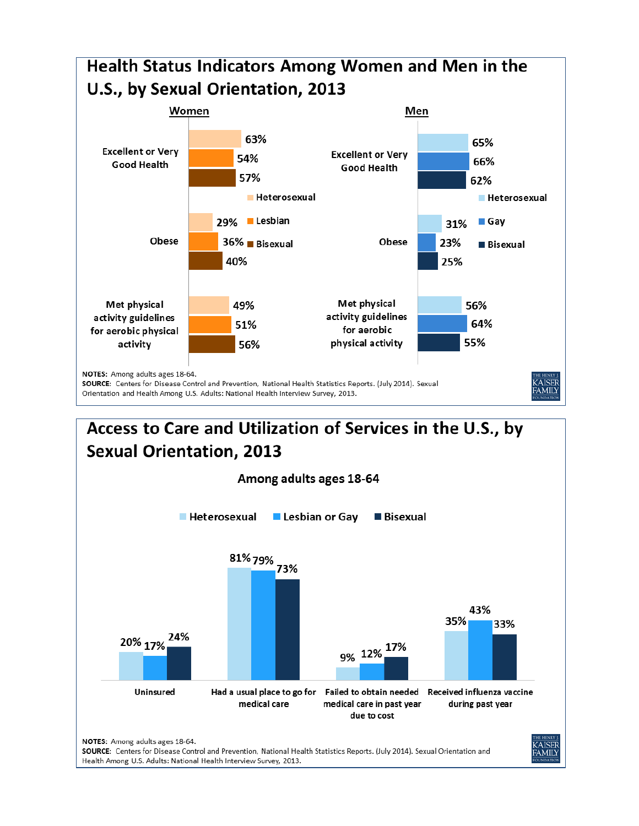

# Access to Care and Utilization of Services in the U.S., by **Sexual Orientation, 2013**

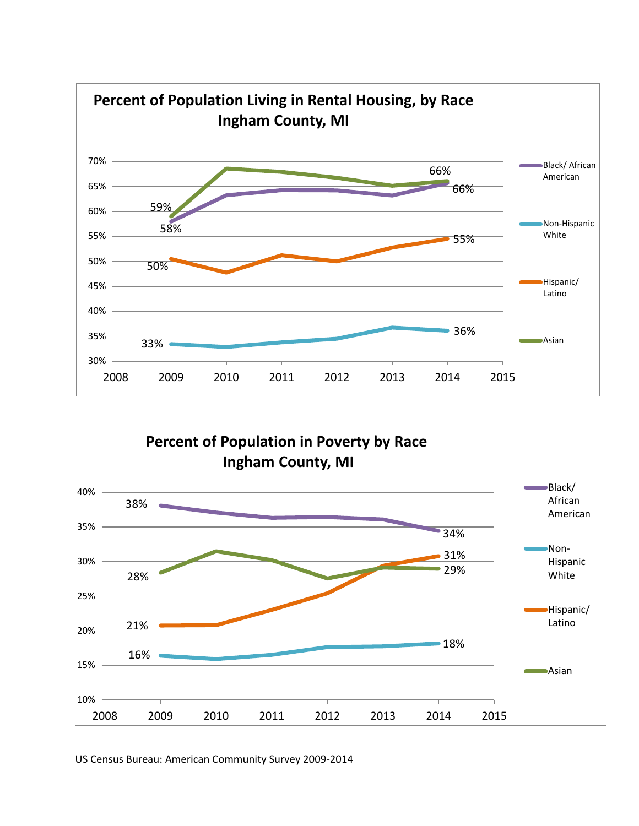



US Census Bureau: American Community Survey 2009-2014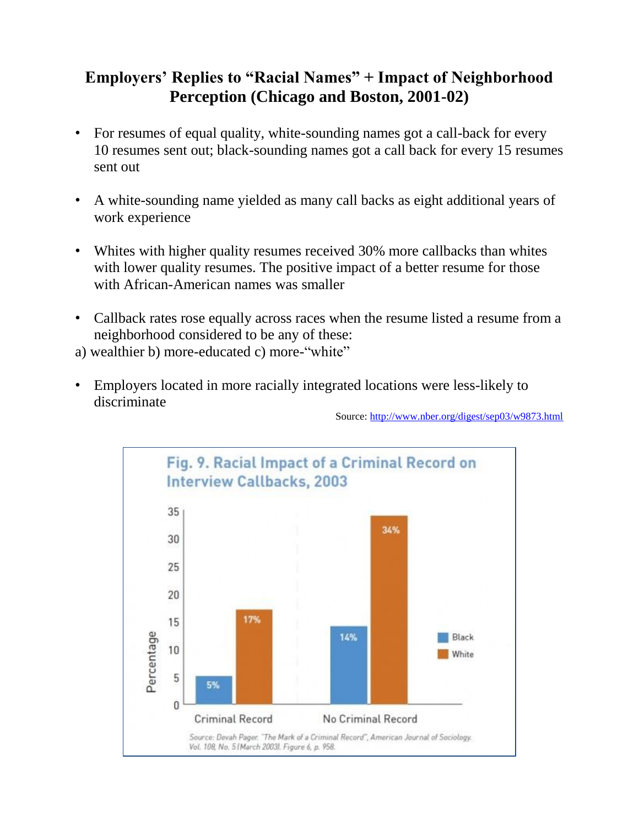### **Employers' Replies to "Racial Names" + Impact of Neighborhood Perception (Chicago and Boston, 2001-02)**

- For resumes of equal quality, white-sounding names got a call-back for every 10 resumes sent out; black-sounding names got a call back for every 15 resumes sent out
- A white-sounding name yielded as many call backs as eight additional years of work experience
- Whites with higher quality resumes received 30% more callbacks than whites with lower quality resumes. The positive impact of a better resume for those with African-American names was smaller
- Callback rates rose equally across races when the resume listed a resume from a neighborhood considered to be any of these:
- a) wealthier b) more-educated c) more-"white"
- Employers located in more racially integrated locations were less-likely to discriminate

Source[: http://www.nber.org/digest/sep03/w9873.html](http://www.nber.org/digest/sep03/w9873.html)

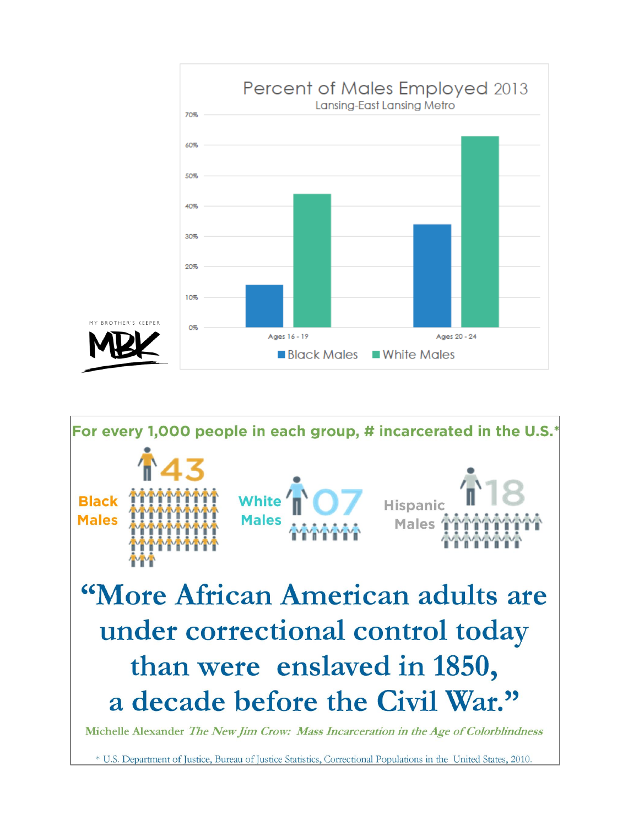



\* U.S. Department of Justice, Bureau of Justice Statistics, Correctional Populations in the United States, 2010.